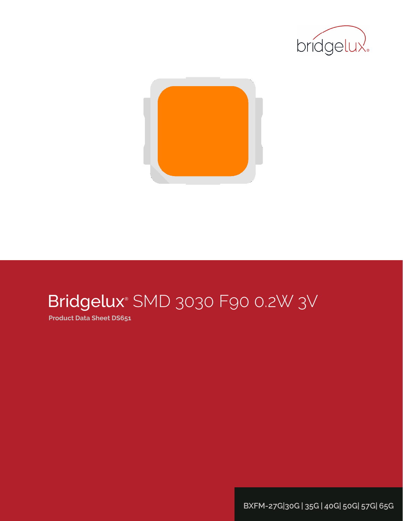



# Bridgelux® SMD 3030 F90 0.2W 3V

**Product Data Sheet DS651**

**BXFM-27G|30G | 35G | 40G| 50G| 57G| 65G**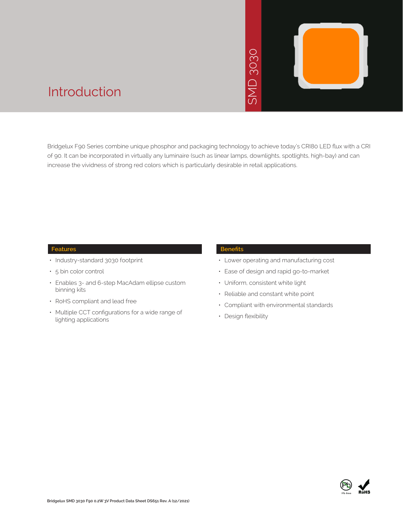# 3030 SMD 3030  $\overline{\phantom{0}}$ **JNS**



### Introduction

Bridgelux F90 Series combine unique phosphor and packaging technology to achieve today's CRI80 LED flux with a CRI of 90. It can be incorporated in virtually any luminaire (such as linear lamps, downlights, spotlights, high-bay) and can increase the vividness of strong red colors which is particularly desirable in retail applications.

#### **Features**

- Industry-standard 3030 footprint
- 5 bin color control
- Enables 3- and 6-step MacAdam ellipse custom binning kits
- RoHS compliant and lead free
- Multiple CCT configurations for a wide range of lighting applications

#### **Benefits**

- • Lower operating and manufacturing cost
- Ease of design and rapid go-to-market
- • Uniform, consistent white light
- Reliable and constant white point
- • Compliant with environmental standards
- Design flexibility

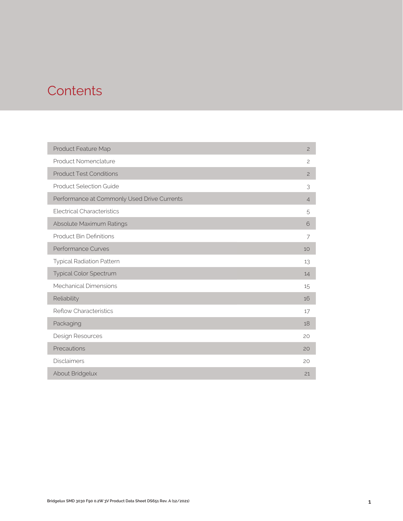### **Contents**

| Product Feature Map                         | $\overline{c}$ |
|---------------------------------------------|----------------|
| Product Nomenclature                        | $\overline{c}$ |
| <b>Product Test Conditions</b>              | $\overline{c}$ |
| <b>Product Selection Guide</b>              | 3              |
| Performance at Commonly Used Drive Currents | $\overline{4}$ |
| <b>Electrical Characteristics</b>           | 5              |
| Absolute Maximum Ratings                    | 6              |
| <b>Product Bin Definitions</b>              | 7              |
| Performance Curves                          | 10             |
| <b>Typical Radiation Pattern</b>            | 13             |
| <b>Typical Color Spectrum</b>               | 14             |
| Mechanical Dimensions                       | 15             |
| Reliability                                 | 16             |
| <b>Reflow Characteristics</b>               | 17             |
| Packaging                                   | 18             |
| Design Resources                            | 20             |
| Precautions                                 | 20             |
| <b>Disclaimers</b>                          | 20             |
| About Bridgelux                             | 21             |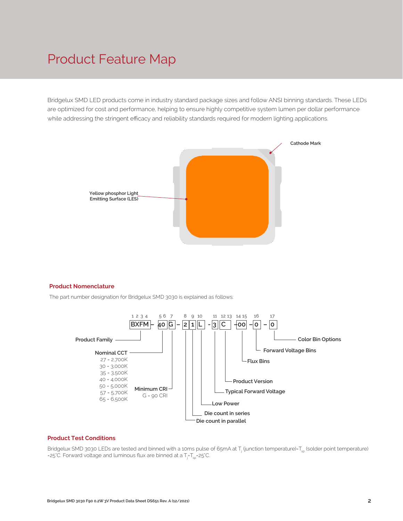### Product Feature Map

Bridgelux SMD LED products come in industry standard package sizes and follow ANSI binning standards. These LEDs are optimized for cost and performance, helping to ensure highly competitive system lumen per dollar performance while addressing the stringent efficacy and reliability standards required for modern lighting applications.



#### **Product Nomenclature**

The part number designation for Bridgelux SMD 3030 is explained as follows:



#### **Product Test Conditions**

Bridgelux SMD 3030 LEDs are tested and binned with a 10ms pulse of 65mA at T<sub>i</sub> (junction temperature)=T<sub>so</sub> (solder point temperature) =25°C. Forward voltage and luminous flux are binned at a  $\mathsf{T}_{\mathsf{j}}\mathsf{-}\mathsf{T}_{\mathsf{sp}}\mathsf{=}$ 25°C.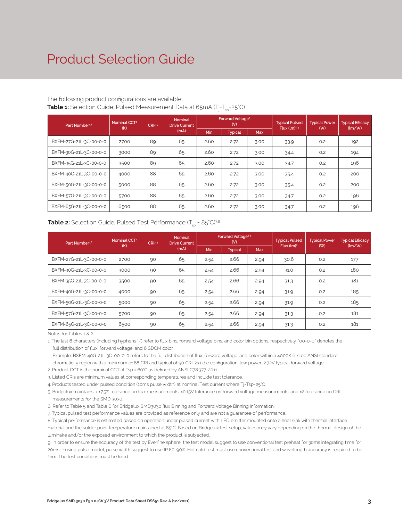### Product Selection Guide

#### The following product configurations are available: **Table 1:** Selection Guide, Pulsed Measurement Data at 65mA (T<sub>j</sub>=T<sub>sp</sub>=25°C)

| Part Number <sup>1,6</sup> | Nominal CCT <sup>2</sup><br>(K) | CRI3.5 | <b>Nominal</b><br><b>Drive Current</b> |      | Forward Voltage <sup>5</sup><br>(V) |            | <b>Typical Pulsed</b><br>Flux $(lm)^{4.5}$ | <b>Typical Power</b> | <b>Typical Efficacy</b><br>$\langle \text{Im}/\text{W} \rangle$<br>(W) |  |
|----------------------------|---------------------------------|--------|----------------------------------------|------|-------------------------------------|------------|--------------------------------------------|----------------------|------------------------------------------------------------------------|--|
|                            |                                 |        | (mA)                                   | Min  | <b>Typical</b>                      | <b>Max</b> |                                            |                      |                                                                        |  |
| BXFM-27G-21L-3C-00-0-0     | 2700                            | 89     | 65                                     | 2.60 | 2.72                                | 3.00       | 33.9                                       | O.2                  | 192                                                                    |  |
| BXFM-30G-21L-3C-00-0-0     | 3000                            | 89     | 65                                     | 2.60 | 2.72                                | 3.00       | 34.4                                       | 0.2                  | 194                                                                    |  |
| BXFM-35G-21L-3C-00-0-0     | 3500                            | 89     | 65                                     | 2.60 | 2.72                                | 3.00       | 34.7                                       | 0.2                  | 196                                                                    |  |
| BXFM-40G-21L-3C-00-0-0     | 4000                            | 88     | 65                                     | 2.60 | 2.72                                | 3.00       | 35.4                                       | O.2                  | 200                                                                    |  |
| BXFM-50G-21L-3C-00-0-0     | 5000                            | 88     | 65                                     | 2.60 | 2.72                                | 3.00       | 35.4                                       | O.2                  | 200                                                                    |  |
| BXFM-57G-21L-3C-00-0-0     | 5700                            | 88     | 65                                     | 2.60 | 2.72                                | 3.00       | 34.7                                       | O.2                  | 196                                                                    |  |
| BXFM-65G-21L-3C-00-0-0     | 6500                            | 88     | 65                                     | 2.60 | 2.72                                | 3.00       | 34.7                                       | 0.2                  | 196                                                                    |  |

#### **Table 2:** Selection Guide, Pulsed Test Performance (T<sub>sp</sub> = 85°C)<sup>7,8</sup>

| Part Number <sup>1,6</sup> | Nominal CCT <sup>2</sup><br>(K) | CRI3-5 | <b>Nominal</b><br>Drive Current |            | Forward Voltage <sup>4.5</sup><br>(V) |            | <b>Typical Pulsed</b><br>Flux (lm) <sup>5</sup> | <b>Typical Power</b><br>(W) | <b>Typical Efficacy</b><br>$\langle \text{Im}/\text{W} \rangle$ |
|----------------------------|---------------------------------|--------|---------------------------------|------------|---------------------------------------|------------|-------------------------------------------------|-----------------------------|-----------------------------------------------------------------|
|                            |                                 |        | (mA)                            | <b>Min</b> | <b>Typical</b>                        | <b>Max</b> |                                                 |                             |                                                                 |
| BXFM-27G-21L-3C-00-0-0     | 2700                            | 90     | 65                              | 2.54       | 2.66                                  | 2.94       | 30.6                                            | 0.2                         | 177                                                             |
| BXFM-30G-21L-3C-00-0-0     | 3000                            | 90     | 65                              | 2.54       | 2.66                                  | 2.94       | 31.0                                            | O.2                         | 180                                                             |
| BXFM-35G-21L-3C-00-0-0     | 3500                            | 90     | 65                              | 2.54       | 2.66                                  | 2.94       | 31.3                                            | O.2                         | 181                                                             |
| BXFM-40G-21L-3C-00-0-0     | 4000                            | 90     | 65                              | 2.54       | 2.66                                  | 2.94       | 31.9                                            | O.2                         | 185                                                             |
| BXFM-50G-21L-3C-00-0-0     | 5000                            | 90     | 65                              | 2.54       | 2.66                                  | 2.94       | 31.9                                            | O.2                         | 185                                                             |
| BXFM-57G-21L-3C-00-0-0     | 5700                            | 90     | 65                              | 2.54       | 2.66                                  | 2.94       | 31.3                                            | O.2                         | 181                                                             |
| BXFM-65G-21L-3C-00-0-0     | 6500                            | 90     | 65                              | 2.54       | 2.66                                  | 2.94       | 31.3                                            | O.2                         | 181                                                             |

Notes for Tables 1 & 2:

1. The last 6 characters (including hyphens '-') refer to flux bins, forward voltage bins, and color bin options, respectively. "00-0-0" denotes the full distribution of flux, forward voltage, and 6 SDCM color.

 Example: BXFM-40G-21L-3C-00-0-0 refers to the full distribution of flux, forward voltage, and color within a 4000K 6-step ANSI standard chromaticity region with a minimum of 88 CRI and typical of 90 CRI, 2x1 die configuration, low power, 2.72V typical forward voltage.

2. Product CCT is the nominal CCT at Tsp = 60°C as defined by ANSI C78.377-2011.

3. Listed CRIs are minimum values at corresponding temperatures and include test tolerance.

4. Products tested under pulsed condition (10ms pulse width) at nominal Test current where Tj=Tsp=25°C.

5. Bridgelux maintains a ±7.5% tolerance on flux measurements, ±0.15V tolerance on forward voltage measurements, and ±2 tolerance on CRI measurements for the SMD 3030.

6. Refer to Table 5 and Table 6 for Bridgelux SMD3030 flux Binning and Forward Voltage Binning information.

7. Typical pulsed test performance values are provided as reference only and are not a guarantee of performance.

8. Typical performance is estimated based on operation under pulsed current with LED emitter mounted onto a heat sink with thermal interface material and the solder point temperature maintained at 85°C. Based on Bridgelux test setup, values may vary depending on the thermal design of the luminaire and/or the exposed environment to which the product is subjected.

9. In order to ensure the accuracy of the test by Everfine sphere the test model suggest to use conventional test preheat for 30ms integrating time for 20ms. If using pulse model, pulse width suggest to use IP 80-90%. Hot cold test must use conventional test and wavelength accuracy is required to be 1nm. The test conditions must be fixed.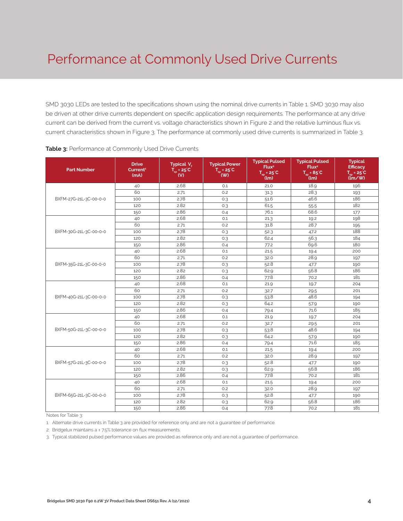SMD 3030 LEDs are tested to the specifications shown using the nominal drive currents in Table 1. SMD 3030 may also be driven at other drive currents dependent on specific application design requirements. The performance at any drive current can be derived from the current vs. voltage characteristics shown in Figure 2 and the relative luminous flux vs. current characteristics shown in Figure 3. The performance at commonly used drive currents is summarized in Table 3.

| <b>Part Number</b>     | <b>Drive</b><br>Current <sup>1</sup><br>(mA) | Typical V<br>$T_{\rm so}$ = 25°C<br>(V) | <b>Typical Power</b><br>$T_{\rm SD} = 25^{\circ}C$<br>$^{\prime}$ (W) | <b>Typical Pulsed</b><br>Flux <sup>2</sup><br>$T_{\rm sn}$ = 25 $\degree$ C<br>(lm) | <b>Typical Pulsed</b><br>Flux <sup>2</sup><br>$\overline{T_{\rm SD}}$ = 85 <sup>°</sup> C<br>(lm) | <b>Typical</b><br><b>Efficacy</b><br>$T_{sp} = 25^{\circ}C$<br>(lm/W) |
|------------------------|----------------------------------------------|-----------------------------------------|-----------------------------------------------------------------------|-------------------------------------------------------------------------------------|---------------------------------------------------------------------------------------------------|-----------------------------------------------------------------------|
|                        | 40                                           | 2.68                                    | O.1                                                                   | 21.0                                                                                | 18.9                                                                                              | 196                                                                   |
|                        | 60                                           | 2.71                                    | 0.2                                                                   | 31.3                                                                                | 28.3                                                                                              | 193                                                                   |
| BXFM-27G-21L-3C-00-0-0 | 100                                          | 2.78                                    | 0.3                                                                   | 51.6                                                                                | 46.6                                                                                              | 186                                                                   |
|                        | 120                                          | 2.82                                    | 0.3                                                                   | 61.5                                                                                | 55.5                                                                                              | 182                                                                   |
|                        | 150                                          | 2.86                                    | 0.4                                                                   | 76.1                                                                                | 68.6                                                                                              | 177                                                                   |
|                        | 40                                           | 2.68                                    | 0.1                                                                   | 21.3                                                                                | 19.2                                                                                              | 198                                                                   |
|                        | 60                                           | 2.71                                    | 0.2                                                                   | 31.8                                                                                | 28.7                                                                                              | 195                                                                   |
| BXFM-30G-21L-3C-00-0-0 | 100                                          | 2.78                                    | 0.3                                                                   | 52.3                                                                                | 47.2                                                                                              | 188                                                                   |
|                        | 120                                          | 2.82                                    | 0.3                                                                   | 62.4                                                                                | 56.3                                                                                              | 184                                                                   |
|                        | 150                                          | 2.86                                    | 0.4                                                                   | 77.2                                                                                | 69.6                                                                                              | 180                                                                   |
|                        | 40                                           | 2.68                                    | 0.1                                                                   | 21.5                                                                                | 19.4                                                                                              | 200                                                                   |
|                        | 60                                           | 2.71                                    | 0.2                                                                   | 32.0                                                                                | 28.9                                                                                              | 197                                                                   |
| BXFM-35G-21L-3C-00-0-0 | 100                                          | 2.78                                    | 0.3                                                                   | 52.8                                                                                | 47.7                                                                                              | 190                                                                   |
|                        | 120                                          | 2.82                                    | 0.3                                                                   | 62.9                                                                                | 56.8                                                                                              | 186                                                                   |
|                        | 150                                          | 2.86                                    | 0.4                                                                   | 77.8                                                                                | 70.2                                                                                              | 181                                                                   |
|                        | 40                                           | 2.68                                    | 0.1                                                                   | 21.9                                                                                | 19.7                                                                                              | 204                                                                   |
|                        | 60                                           | 2.71                                    | 0.2                                                                   | 32.7                                                                                | 29.5                                                                                              | 201                                                                   |
| BXFM-40G-21L-3C-00-0-0 | 100                                          | 2.78                                    | 0.3                                                                   | 53.8                                                                                | 48.6                                                                                              | 194                                                                   |
|                        | 120                                          | 2.82                                    | 0.3                                                                   | 64.2                                                                                | 57.9                                                                                              | 190                                                                   |
|                        | 150                                          | 2.86                                    | 0.4                                                                   | 79.4                                                                                | 71.6                                                                                              | 185                                                                   |
|                        | 40                                           | 2.68                                    | 0.1                                                                   | 21.9                                                                                | 19.7                                                                                              | 204                                                                   |
|                        | 60                                           | 2.71                                    | 0.2                                                                   | 32.7                                                                                | 29.5                                                                                              | 201                                                                   |
| BXFM-50G-21L-3C-00-0-0 | 100                                          | 2.78                                    | 0.3                                                                   | 53.8                                                                                | 48.6                                                                                              | 194                                                                   |
|                        | 120                                          | 2.82                                    | 0.3                                                                   | 64.2                                                                                | 57.9                                                                                              | 190                                                                   |
|                        | 150                                          | 2.86                                    | 0.4                                                                   | 79.4                                                                                | 71.6                                                                                              | 185                                                                   |
|                        | 40                                           | 2.68                                    | 0.1                                                                   | 21.5                                                                                | 19.4                                                                                              | 200                                                                   |
|                        | 60                                           | 2.71                                    | 0.2                                                                   | 32.0                                                                                | 28.9                                                                                              | 197                                                                   |
| BXFM-57G-21L-3C-00-0-0 | 100                                          | 2.78                                    | 0.3                                                                   | 52.8                                                                                | 47.7                                                                                              | 190                                                                   |
|                        | 120                                          | 2.82                                    | 0.3                                                                   | 62.9                                                                                | 56.8                                                                                              | 186                                                                   |
|                        | 150                                          | 2.86                                    | 0.4                                                                   | 77.8                                                                                | 70.2                                                                                              | 181                                                                   |
|                        | 40                                           | 2.68                                    | 0.1                                                                   | 21.5                                                                                | 19.4                                                                                              | 200                                                                   |
|                        | 60                                           | 2.71                                    | 0.2                                                                   | 32.0                                                                                | 28.9                                                                                              | 197                                                                   |
| BXFM-65G-21L-3C-00-0-0 | 100                                          | 2.78                                    | 0.3                                                                   | 52.8                                                                                | 47.7                                                                                              | 190                                                                   |
|                        | 120                                          | 2.82                                    | 0.3                                                                   | 62.9                                                                                | 56.8                                                                                              | 186                                                                   |
|                        | 150                                          | 2.86                                    | 0.4                                                                   | 77.8                                                                                | 70.2                                                                                              | 181                                                                   |

Notes for Table 3:

1. Alternate drive currents in Table 3 are provided for reference only and are not a guarantee of performance.

2. Bridgelux maintains a  $\pm$  7.5% tolerance on flux measurements.

3. Typical stabilized pulsed performance values are provided as reference only and are not a guarantee of performance.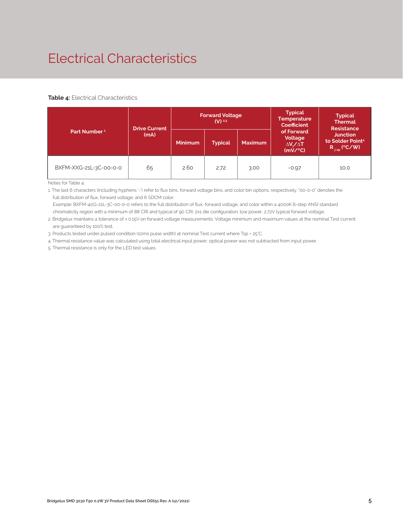### Electrical Characteristics

#### **Table 4:** Electrical Characteristics

|                          | <b>Drive Current</b>   | <b>Forward Voltage</b><br>$(V)$ 2.3 |                |                | <b>Typical</b><br><b>Temperature</b><br><b>Coefficient</b> | <b>Typical</b><br><b>Thermal</b><br><b>Resistance</b>                      |  |
|--------------------------|------------------------|-------------------------------------|----------------|----------------|------------------------------------------------------------|----------------------------------------------------------------------------|--|
| Part Number <sup>1</sup> | (mA)<br><b>Minimum</b> |                                     | <b>Typical</b> | <b>Maximum</b> | of Forward<br>Voltage<br>$\Delta V / \Delta T$<br>(mV/C)   | <b>Junction</b><br>to Solder Point <sup>4</sup><br>$R_{\text{isp}}$ (°C/W) |  |
| BXFM-XXG-21L-3C-00-0-0   | 65                     | 2.60                                | 2.72           | 3.00           | $-0.97$                                                    | 10.0                                                                       |  |

Notes for Table 4:

1. The last 6 characters (including hyphens '-') refer to flux bins, forward voltage bins, and color bin options, respectively. "00-0-0" denotes the full distribution of flux, forward voltage, and 6 SDCM color.

 Example: BXFM-40G-21L-3C-00-0-0 refers to the full distribution of flux, forward voltage, and color within a 4000K 6-step ANSI standard chromaticity region with a minimum of 88 CRI and typical of 90 CRI, 2x1 die configuration, low power, 2.72V typical forward voltage.

2. Bridgelux maintains a tolerance of ± 0.15V on forward voltage measurements. Voltage minimum and maximum values at the nominal Test current are guaranteed by 100% test.

3. Products tested under pulsed condition (10ms pulse width) at nominal Test current where Tsp = 25°C.

4. Thermal resistance value was calculated using total electrical input power; optical power was not subtracted from input power.

5. Thermal resistance is only for the LED test values.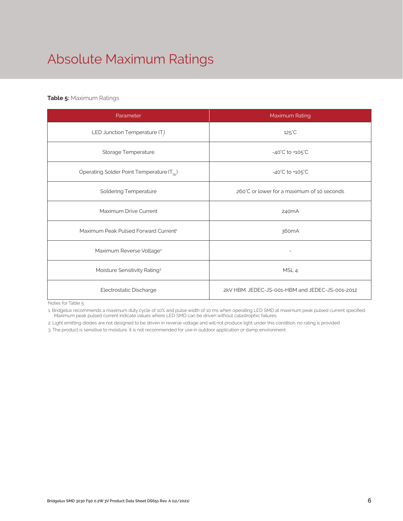## Absolute Maximum Ratings

#### **Table 5:** Maximum Ratings

| Parameter                                             | Maximum Rating                                  |  |  |  |
|-------------------------------------------------------|-------------------------------------------------|--|--|--|
| LED Junction Temperature $(T_i)$                      | $125^{\circ}$ C                                 |  |  |  |
| Storage Temperature                                   | $-40^{\circ}$ C to $+105^{\circ}$ C             |  |  |  |
| Operating Solder Point Temperature (T <sub>Sp</sub> ) | $-40^{\circ}$ C to $+105^{\circ}$ C             |  |  |  |
| <b>Soldering Temperature</b>                          | 260°C or lower for a maximum of 10 seconds      |  |  |  |
| Maximum Drive Current                                 | 240mA                                           |  |  |  |
| Maximum Peak Pulsed Forward Current <sup>1</sup>      | 360 <sub>m</sub> A                              |  |  |  |
| Maximum Reverse Voltage <sup>2</sup>                  |                                                 |  |  |  |
| Moisture Sensitivity Rating <sup>3</sup>              | MSL <sub>4</sub>                                |  |  |  |
| Electrostatic Discharge                               | 2kV HBM, JEDEC-JS-001-HBM and JEDEC-JS-001-2012 |  |  |  |

Notes for Table 5:

1. Bridgelux recommends a maximum duty cycle of 10% and pulse width of 10 ms when operating LED SMD at maximum peak pulsed current specified. Maximum peak pulsed current indicate values where LED SMD can be driven without catastrophic failures.

2. Light emitting diodes are not designed to be driven in reverse voltage and will not produce light under this condition. no rating is provided

3. The product is sensitive to moisture. It is not recommended for use in outdoor application or damp environment .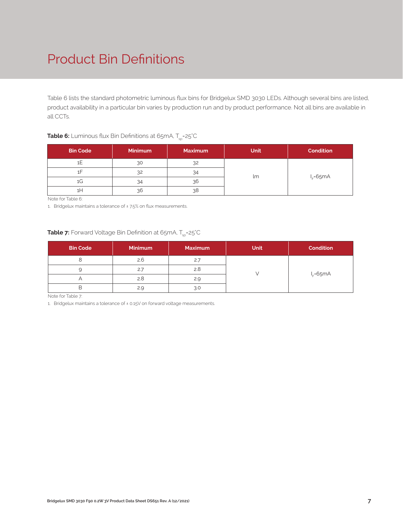### Product Bin Definitions

Table 6 lists the standard photometric luminous flux bins for Bridgelux SMD 3030 LEDs. Although several bins are listed, product availability in a particular bin varies by production run and by product performance. Not all bins are available in all CCTs.

#### **Table 6:** Luminous flux Bin Definitions at 65mA, T<sub>sp</sub>=25°C

| <b>Bin Code</b> | <b>Minimum</b> | <b>Maximum</b> | <b>Unit</b> | <b>Condition</b> |
|-----------------|----------------|----------------|-------------|------------------|
|                 | 30             | 32             |             |                  |
|                 | 32             | 34             |             |                  |
| 1G              | 34             | 36             | lm          | $I_F = 65mA$     |
| ıΗ              | 36             | 38             |             |                  |

Note for Table 6:

1. Bridgelux maintains a tolerance of ± 7.5% on flux measurements.

#### **Table 7:** Forward Voltage Bin Definition at 65mA, T<sub>sp</sub>=25°C

| <b>Bin Code</b> | <b>Minimum</b> | <b>Maximum</b> | <b>Unit</b> | <b>Condition</b> |  |
|-----------------|----------------|----------------|-------------|------------------|--|
|                 | 2.6            | 2.7            |             |                  |  |
|                 | 2.7            | 2.8            |             |                  |  |
| ⌒               | 2.8            | 2.9            |             | $I_F = 65mA$     |  |
| В               | 2.9            | 3.0            |             |                  |  |

Note for Table 7:

1. Bridgelux maintains a tolerance of ± 0.15V on forward voltage measurements.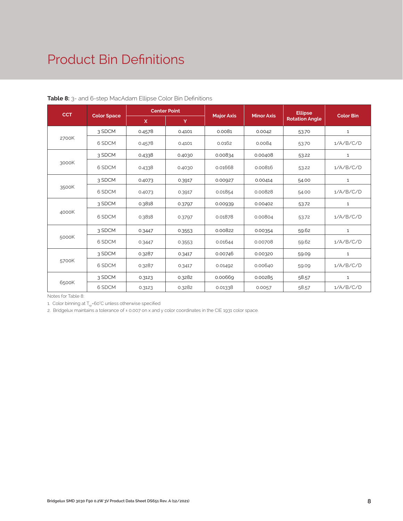### Product Bin Definitions

| <b>CCT</b> |                    | <b>Center Point</b> |        |                   | <b>Minor Axis</b> | <b>Ellipse</b>        | <b>Color Bin</b> |
|------------|--------------------|---------------------|--------|-------------------|-------------------|-----------------------|------------------|
|            | <b>Color Space</b> | $\mathsf{x}$        | Y      | <b>Major Axis</b> |                   | <b>Rotation Angle</b> |                  |
|            | 3 SDCM             | 0.4578              | 0.4101 | 0.0081            | 0.0042            | 53.70                 | $\mathbf{1}$     |
| 2700K      | 6 SDCM             | 0.4578              | 0.4101 | 0.0162            | 0.0084            | 53.70                 | 1/A/B/C/D        |
|            | 3 SDCM             | 0.4338              | 0.4030 | 0.00834           | 0.00408           | 53.22                 | $\mathbf{1}$     |
| 3000K      | 6 SDCM             | 0.4338              | 0.4030 | 0.01668           | 0.00816           | 53.22                 | 1/A/B/C/D        |
|            | 3 SDCM             | 0.4073              | 0.3917 | 0.00927           | 0.00414           | 54.00                 | $\mathbf{1}$     |
| 3500K      | 6 SDCM             | 0.4073              | 0.3917 | 0.01854           | 0.00828           | 54.00                 | 1/A/B/C/D        |
|            | 3 SDCM             | 0.3818              | 0.3797 | 0.00939           | 0.00402           | 53.72                 | $\mathbf{1}$     |
| 4000K      | 6 SDCM             | 0.3818              | 0.3797 | 0.01878           | 0.00804           | 53.72                 | 1/A/B/C/D        |
|            | 3 SDCM             | 0.3447              | 0.3553 | 0.00822           | 0.00354           | 59.62                 | $\mathbf{1}$     |
| 5000K      | 6 SDCM             | 0.3447              | 0.3553 | 0.01644           | 0.00708           | 59.62                 | 1/A/B/C/D        |
|            | 3 SDCM             | 0.3287              | 0.3417 | 0.00746           | 0.00320           | 59.09                 | $\mathbf{1}$     |
| 5700K      | 6 SDCM             | 0.3287              | 0.3417 | 0.01492           | 0.00640           | 59.09                 | 1/A/B/C/D        |
|            | 3 SDCM             | 0.3123              | 0.3282 | 0.00669           | 0.00285           | 58.57                 | $\mathbf{1}$     |
| 6500K      | 6 SDCM             | 0.3123              | 0.3282 | 0.01338           | 0.0057            | 58.57                 | 1/A/B/C/D        |

**Table 8:** 3- and 6-step MacAdam Ellipse Color Bin Definitions

Notes for Table 8:

1. Color binning at  $T_{sp}$ =60°C unless otherwise specified

2. Bridgelux maintains a tolerance of ± 0.007 on x and y color coordinates in the CIE 1931 color space.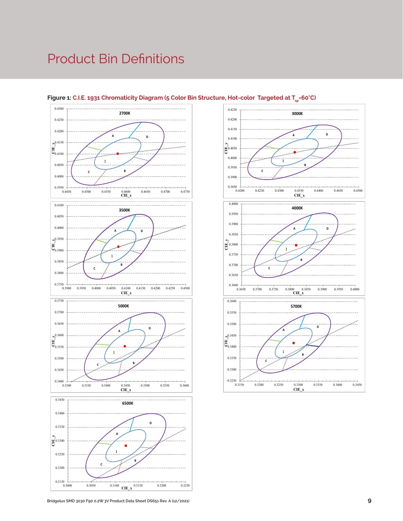### Product Bin Definitions





#### Figure 1: C.I.E. 1931 Chromaticity Diagram (5 Color Bin Structure, Hot-color Targeted at T<sub>er</sub>=60°C)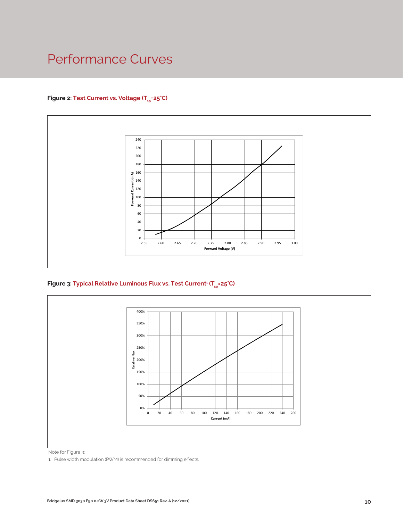### Performance Curves

#### Figure 2: Test Current vs. Voltage (T<sub>sp</sub>=25°C)



**Figure 3: Typical Relative Luminous Flux vs. Test Current**<sup>1</sup>  **(Tsp=25°C)**



Note for Figure 3:

1. Pulse width modulation (PWM) is recommended for dimming effects.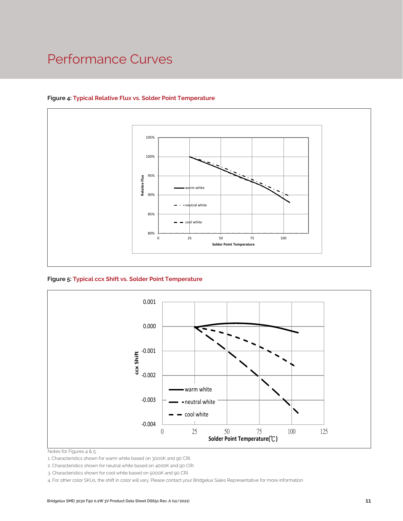### Performance Curves



#### **Figure 4: Typical Relative Flux vs. Solder Point Temperature**

**Figure 5: Typical ccx Shift vs. Solder Point Temperature**



Notes for Figures 4 & 5:

1. Characteristics shown for warm white based on 3000K and 90 CRI.

2. Characteristics shown for neutral white based on 4000K and 90 CRI.

3. Characteristics shown for cool white based on 5000K and 90 CRI.

4. For other color SKUs, the shift in color will vary. Please contact your Bridgelux Sales Representative for more information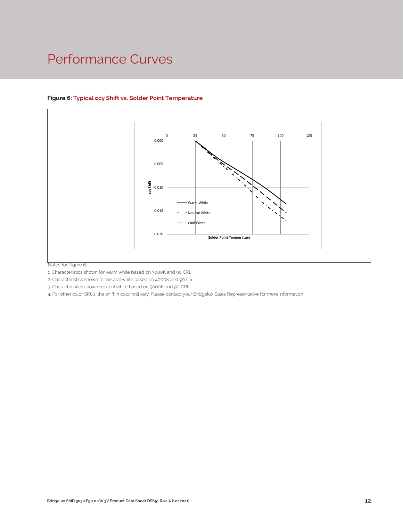### Performance Curves



#### **Figure 6: Typical ccy Shift vs. Solder Point Temperature**

Notes for Figure 6:

1. Characteristics shown for warm white based on 3000K and 90 CRI.

2. Characteristics shown for neutral white based on 4000K and 90 CRI.

3. Characteristics shown for cool white based on 5000K and 90 CRI.

4. For other color SKUs, the shift in color will vary. Please contact your Bridgelux Sales Representative for more information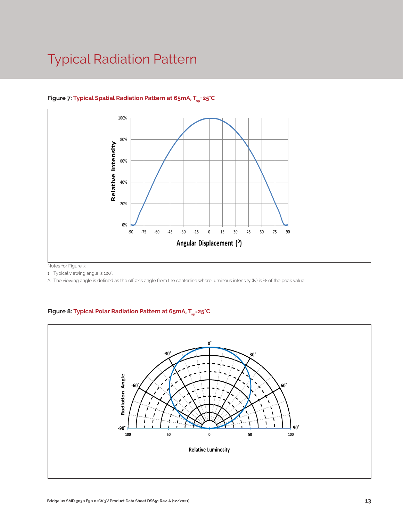### Typical Radiation Pattern



#### Figure 7: Typical Spatial Radiation Pattern at 65mA, T<sub>sp</sub>=25°C

Notes for Figure 7:

1. Typical viewing angle is 120°. .

2. The viewing angle is defined as the off axis angle from the centerline where luminous intensity (Iv) is 1/2 of the peak value.

#### Figure 8: Typical Polar Radiation Pattern at 65mA, T<sub>sp</sub>=25°C

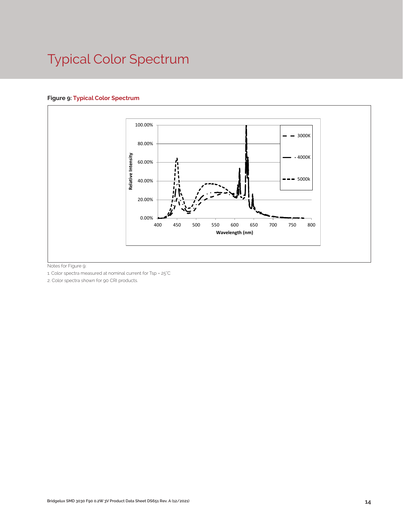## Typical Color Spectrum

#### **Figure 9: Typical Color Spectrum**



Notes for Figure 9:

1. Color spectra measured at nominal current for Tsp = 25°C

2. Color spectra shown for 90 CRI products.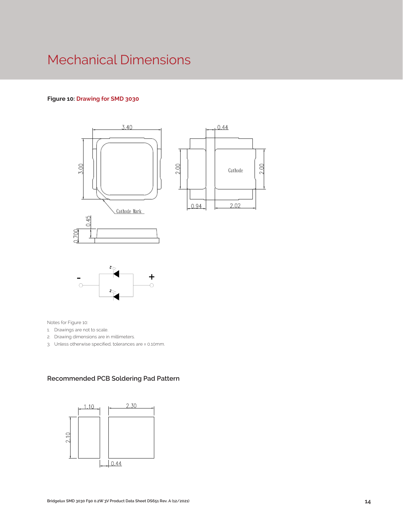### Mechanical Dimensions

#### **Figure 10: Drawing for SMD 3030**



Notes for Figure 10:

- 1. Drawings are not to scale.
- 2. Drawing dimensions are in millimeters.
- 3. Unless otherwise specified, tolerances are ± 0.10mm.

#### **Recommended PCB Soldering Pad Pattern**

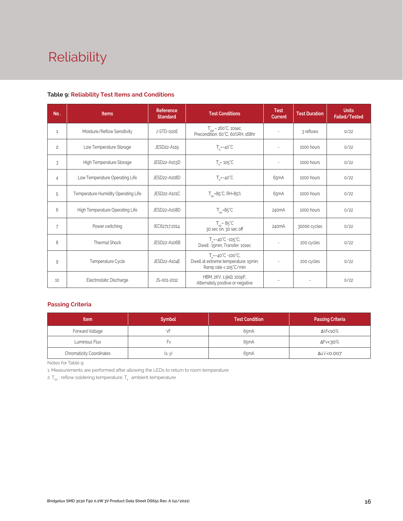# Reliability

#### **Table 9: Reliability Test Items and Conditions**

| No.            | <b>Items</b>                        | <b>Reference</b><br><b>Standard</b> | <b>Test Conditions</b>                                                                                 | <b>Test</b><br><b>Current</b> | <b>Test Duration</b> | <b>Units</b><br><b>Failed/Tested</b> |
|----------------|-------------------------------------|-------------------------------------|--------------------------------------------------------------------------------------------------------|-------------------------------|----------------------|--------------------------------------|
| $\mathbf{1}$   | Moisture/Reflow Sensitivity         | J-STD-020E                          | $T_{\text{sld}}$ = 260°C, 10sec,<br>Precondition: 60°C, 60%RH, 168hr                                   |                               | 3 reflows            | 0/22                                 |
| $\overline{c}$ | Low Temperature Storage             | JESD22-A119                         | $T_a = -40^{\circ}C$                                                                                   | $\sim$                        | 1000 hours           | 0/22                                 |
| 3              | High Temperature Storage            | JESD22-A103D                        | $T_a = 105^{\circ}C$                                                                                   |                               | 1000 hours           | 0/22                                 |
| $\overline{4}$ | Low Temperature Operating Life      | JESD22-A108D                        | $T_s = -40^{\circ}C$                                                                                   | 65 <sub>m</sub> A             | 1000 hours           | 0/22                                 |
| 5              | Temperature Humidity Operating Life | JESD22-A101C                        | $T_{\rm SD} = 85^{\circ}$ C, RH=85%                                                                    | 65 <sub>m</sub> A             | 1000 hours           | 0/22                                 |
| 6              | High Temperature Operating Life     | JESD22-A108D                        | $T_{\rm SD} = 85^{\circ}C$                                                                             | 240 <sub>m</sub> A            | 1000 hours           | 0/22                                 |
| $\overline{7}$ | Power switching                     | IEC62717:2014                       | $T_{\rm so} = 85^{\circ}C$<br>30 sec on, 30 sec off                                                    | 240 <sub>m</sub> A            | 30000 cycles         | 0/22                                 |
| 8              | <b>Thermal Shock</b>                | JESD22-A106B                        | $T_a = -40^{\circ}C \sim 105^{\circ}C$ ;<br>Dwell: 15min; Transfer: 10sec                              |                               | 200 cycles           | 0/22                                 |
| 9              | Temperature Cycle                   | JESD22-A104E                        | $T_a = -40^{\circ}C - 100^{\circ}C$ ;<br>Dwell at extreme temperature: 15min;<br>Ramp rate < 105°C/min |                               | 200 cycles           | 0/22                                 |
| 10             | Electrostatic Discharge             | JS-001-2012                         | HBM, $2KV$ , $1.5k\Omega$ , 100pF,<br>Alternately positive or negative                                 | $\overline{\phantom{a}}$      | ÷,                   | 0/22                                 |

#### **Passing Criteria**

| <b>Item</b>                     | <b>Symbol</b> | <b>Test Condition</b> | <b>Passing Criteria</b> |
|---------------------------------|---------------|-----------------------|-------------------------|
| Forward Voltage                 |               | 65 <sub>m</sub> A     | ΔVf<10%                 |
| Luminous Flux<br>۲v             |               | 65 <sub>m</sub> A     | ΔFν<30%                 |
| <b>Chromaticity Coordinates</b> | (x, y)        | 65 <sub>m</sub> A     | Δu'v'<0.007             |

Notes for Table 9:

1. Measurements are performed after allowing the LEDs to return to room temperature

2.  $T_{\text{std}}$ : reflow soldering temperature;  $T_{\text{ad}}$ : ambient temperature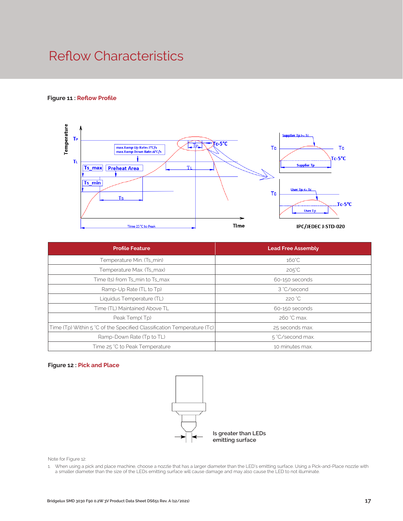### Reflow Characteristics

#### **Figure 11 : Reflow Profile**



| <b>Profile Feature</b>                                                 | <b>Lead Free Assembly</b> |
|------------------------------------------------------------------------|---------------------------|
| Temperature Min. (Ts_min)                                              | $160^{\circ}$ C           |
| Temperature Max. (Ts_max)                                              | $205^{\circ}$ C           |
| Time (ts) from Ts_min to Ts_max                                        | 60-150 seconds            |
| Ramp-Up Rate (TL to Tp)                                                | 3 °C/second               |
| Liquidus Temperature (TL)                                              | 220 °C                    |
| Time (TL) Maintained Above TL                                          | 60-150 seconds            |
| Peak Temp(Tp)                                                          | 260 °C max.               |
| Time (Tp) Within 5 °C of the Specified Classification Temperature (Tc) | 25 seconds max.           |
| Ramp-Down Rate (Tp to TL)                                              | 5 °C/second max.          |
| Time 25 °C to Peak Temperature                                         | 10 minutes max.           |

#### **Figure 12 : Pick and Place**



Note for Figure 12:

1. When using a pick and place machine, choose a nozzle that has a larger diameter than the LED's emitting surface. Using a Pick-and-Place nozzle with a smaller diameter than the size of the LEDs emitting surface will cause damage and may also cause the LED to not illuminate.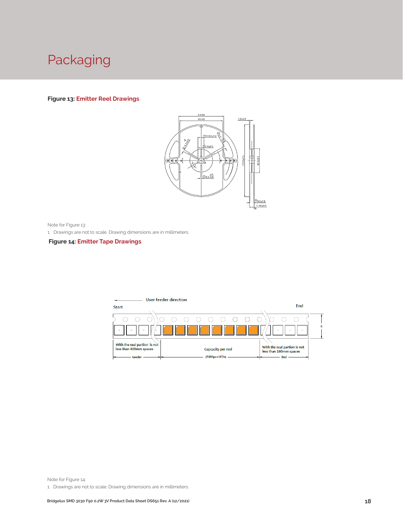

#### **Figure 13: Emitter Reel Drawings**



Note for Figure 13:

1. Drawings are not to scale. Drawing dimensions are in millimeters.

#### **Figure 14: Emitter Tape Drawings**



Note for Figure 14:

1. Drawings are not to scale. Drawing dimensions are in millimeters.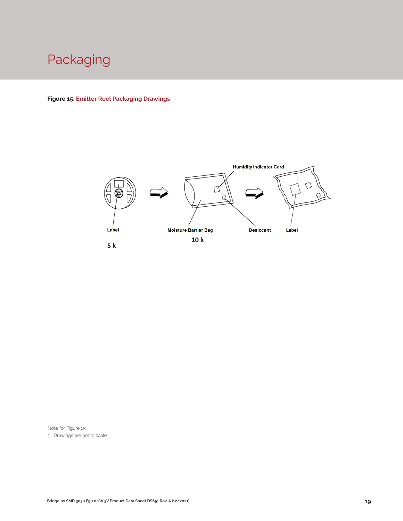

**Figure 15: Emitter Reel Packaging Drawings**



Note for Figure 15:

1. Drawings are not to scale.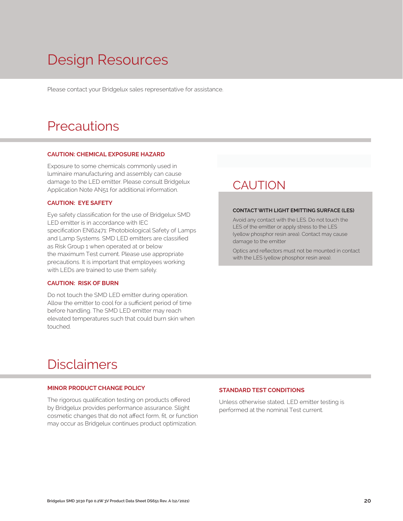## Design Resources

Please contact your Bridgelux sales representative for assistance.

### **Precautions**

#### **CAUTION: CHEMICAL EXPOSURE HAZARD**

Exposure to some chemicals commonly used in luminaire manufacturing and assembly can cause damage to the LED emitter. Please consult Bridgelux Application Note AN51 for additional information.

#### **CAUTION: EYE SAFETY**

Eye safety classification for the use of Bridgelux SMD LED emitter is in accordance with IEC specification EN62471: Photobiological Safety of Lamps and Lamp Systems. SMD LED emitters are classified as Risk Group 1 when operated at or below the maximum Test current. Please use appropriate precautions. It is important that employees working with LEDs are trained to use them safely.

#### **CAUTION: RISK OF BURN**

Do not touch the SMD LED emitter during operation. Allow the emitter to cool for a sufficient period of time before handling. The SMD LED emitter may reach elevated temperatures such that could burn skin when touched.

### **CAUTION**

#### **CONTACT WITH LIGHT EMITTING SURFACE (LES)**

Avoid any contact with the LES. Do not touch the LES of the emitter or apply stress to the LES (yellow phosphor resin area). Contact may cause damage to the emitter

Optics and reflectors must not be mounted in contact with the LES (yellow phosphor resin area).

### Disclaimers

#### **MINOR PRODUCT CHANGE POLICY**

The rigorous qualification testing on products offered by Bridgelux provides performance assurance. Slight cosmetic changes that do not affect form, fit, or function may occur as Bridgelux continues product optimization.

#### **STANDARD TEST CONDITIONS**

Unless otherwise stated, LED emitter testing is performed at the nominal Test current.